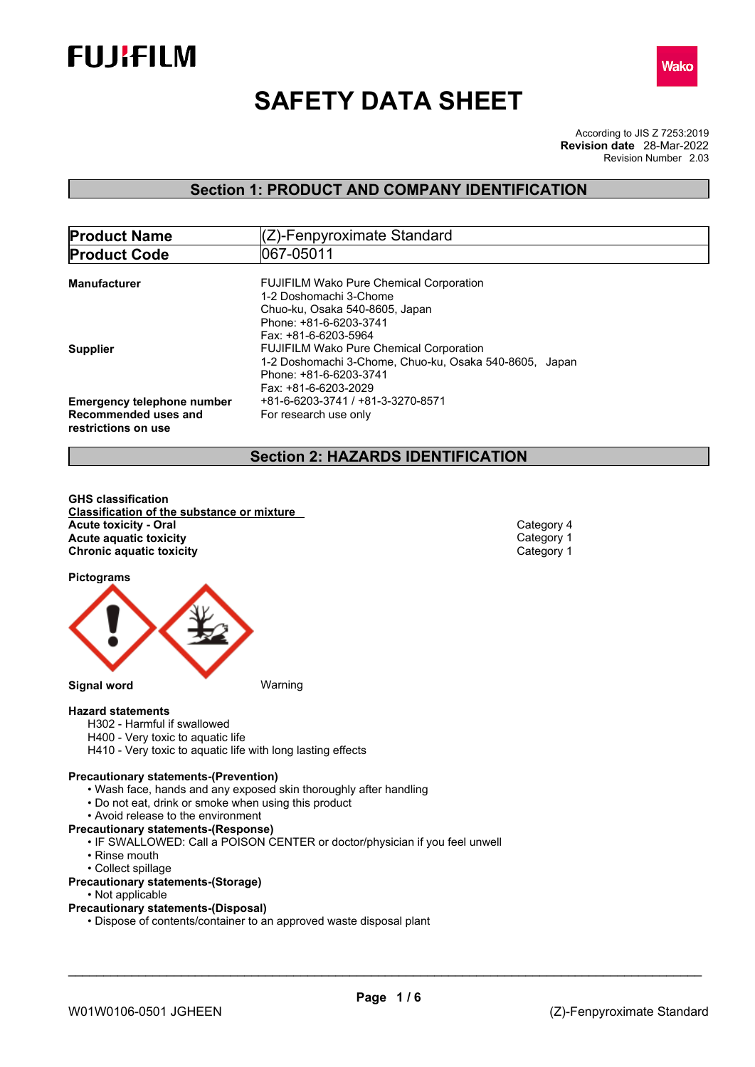



# **SAFETY DATA SHEET**

According to JIS Z 7253:2019 Revision Number 2.03 **Revision date** 28-Mar-2022

## **Section 1: PRODUCT AND COMPANY IDENTIFICATION**

| <b>Product Name</b>                                                              | (Z)-Fenpyroximate Standard                                                                                                                                 |
|----------------------------------------------------------------------------------|------------------------------------------------------------------------------------------------------------------------------------------------------------|
| <b>Product Code</b>                                                              | 1067-05011                                                                                                                                                 |
| <b>Manufacturer</b>                                                              | <b>FUJIFILM Wako Pure Chemical Corporation</b><br>1-2 Doshomachi 3-Chome<br>Chuo-ku, Osaka 540-8605, Japan<br>Phone: +81-6-6203-3741                       |
| <b>Supplier</b>                                                                  | Fax: +81-6-6203-5964<br><b>FUJIFILM Wako Pure Chemical Corporation</b><br>1-2 Doshomachi 3-Chome, Chuo-ku, Osaka 540-8605, Japan<br>Phone: +81-6-6203-3741 |
| <b>Emergency telephone number</b><br>Recommended uses and<br>restrictions on use | Fax: +81-6-6203-2029<br>+81-6-6203-3741 / +81-3-3270-8571<br>For research use only                                                                         |

## **Section 2: HAZARDS IDENTIFICATION**

**GHS classification Classification of the substance or mixture Acute toxicity - Oral** Category 4<br> **Acute aquatic toxicity**<br>
Category 1 **Acute** aquatic toxicity **Category 1** Category 1 Chronic aquatic toxicity **Category 1 Chronic aquatic toxicity** 

**Pictograms**



**Hazard statements**

- H302 Harmful if swallowed
- H400 Very toxic to aquatic life
- H410 Very toxic to aquatic life with long lasting effects

#### **Precautionary statements-(Prevention)**

- Wash face, hands and any exposed skin thoroughly after handling
- Do not eat, drink or smoke when using this product
- Avoid release to the environment
- **Precautionary statements-(Response)**
	- IF SWALLOWED: Call a POISON CENTER or doctor/physician if you feel unwell
	- Rinse mouth
	- Collect spillage

#### **Precautionary statements-(Storage)**

- Not applicable
- **Precautionary statements-(Disposal)**
	- Dispose of contents/container to an approved waste disposal plant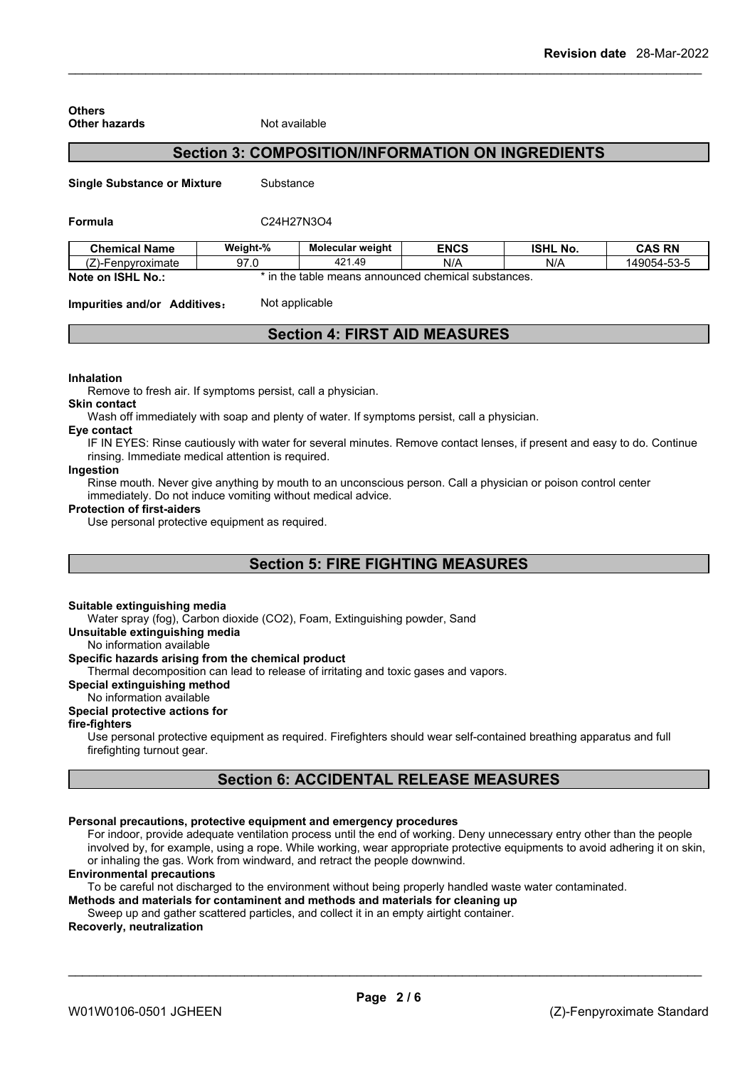| <b>Others</b><br><b>Other hazards</b> |           | Not available                                            |             |                 |               |
|---------------------------------------|-----------|----------------------------------------------------------|-------------|-----------------|---------------|
|                                       |           | <b>Section 3: COMPOSITION/INFORMATION ON INGREDIENTS</b> |             |                 |               |
| <b>Single Substance or Mixture</b>    | Substance |                                                          |             |                 |               |
| Formula                               |           | C24H27N3O4                                               |             |                 |               |
| <b>Chemical Name</b>                  | Weight-%  | <b>Molecular weight</b>                                  | <b>ENCS</b> | <b>ISHL No.</b> | <b>CAS RN</b> |
| (Z)-Fenpyroximate                     | 97.0      | 421.49                                                   | N/A         | N/A             | 149054-53-5   |
| Note on ISHL No.:                     |           | * in the table means announced chemical substances.      |             |                 |               |
| Impurities and/or Additives:          |           | Not applicable                                           |             |                 |               |
|                                       |           | <b>Section 4: FIRST AID MEASURES</b>                     |             |                 |               |

#### **Inhalation**

Remove to fresh air. If symptoms persist, call a physician.

#### **Skin contact**

Wash off immediately with soap and plenty of water. If symptoms persist, call a physician.

### **Eye contact**

IF IN EYES: Rinse cautiously with water for several minutes. Remove contact lenses, if present and easy to do. Continue rinsing. Immediate medical attention is required.

#### **Ingestion**

Rinse mouth. Never give anything by mouth to an unconscious person. Call a physician or poison control center immediately. Do not induce vomiting without medical advice.

#### **Protection of first-aiders**

Use personal protective equipment as required.

## **Section 5: FIRE FIGHTING MEASURES**

#### **Suitable extinguishing media**

Water spray (fog), Carbon dioxide (CO2), Foam, Extinguishing powder, Sand

**Unsuitable extinguishing media**

No information available

#### **Specific hazards arising from the chemical product**

Thermal decomposition can lead to release of irritating and toxic gases and vapors.

#### **Special extinguishing method**

#### No information available

## **Special protective actions for**

#### **fire-fighters**

Use personal protective equipment as required.Firefighters should wear self-contained breathing apparatus and full firefighting turnout gear.

## **Section 6: ACCIDENTAL RELEASE MEASURES**

#### **Personal precautions, protective equipment and emergency procedures**

For indoor, provide adequate ventilation process until the end of working. Deny unnecessary entry other than the people involved by, for example, using a rope. While working, wear appropriate protective equipments to avoid adhering it on skin, or inhaling the gas. Work from windward, and retract the people downwind.

#### **Environmental precautions**

To be careful not discharged to the environment without being properly handled waste water contaminated.

**Methods and materials for contaminent and methods and materials for cleaning up** Sweep up and gather scattered particles, and collect it in an empty airtight container.

### **Recoverly, neutralization**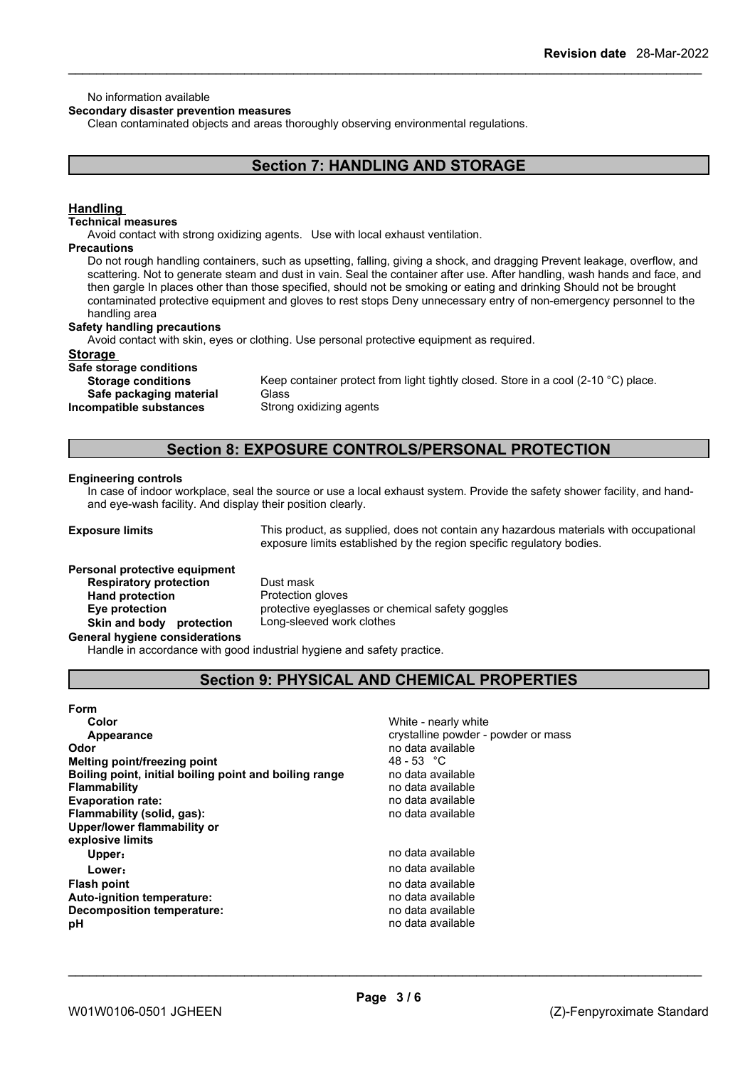#### No information available

#### **Secondary disaster prevention measures**

Clean contaminated objects and areas thoroughly observing environmental regulations.

## **Section 7: HANDLING AND STORAGE**

#### **Handling**

#### **Technical measures**

Avoid contact with strong oxidizing agents. Use with local exhaust ventilation.

#### **Precautions**

Do not rough handling containers, such as upsetting, falling, giving a shock, and dragging Prevent leakage, overflow, and scattering. Not to generate steam and dust in vain. Seal the container after use. After handling, wash hands and face, and then gargle In places other than those specified, should not be smoking or eating and drinking Should not be brought contaminated protective equipment and gloves to rest stops Deny unnecessary entry of non-emergency personnel to the handling area

#### **Safety handling precautions**

Avoid contact with skin, eyes or clothing. Use personal protective equipment as required.

#### **Storage**

**Safe storage conditions Safe packaging material** Glass<br>**ompatible substances** Strong oxidizing agents **Incompatible substances** 

Keep container protect from light tightly closed. Store in a cool (2-10 °C) place.

## **Section 8: EXPOSURE CONTROLS/PERSONAL PROTECTION**

#### **Engineering controls**

In case of indoor workplace, seal the source or use a local exhaust system. Provide the safety shower facility, and handand eye-wash facility. And display their position clearly.

**Exposure limits** This product, as supplied, does not contain any hazardous materials with occupational exposure limits established by the region specific regulatory bodies.

## **Personal protective equipment Respiratory protection** Dust mask **Hand protection** Protection gloves **Skin and body protection** Long-sleeved work clothes

**Eye protection** protective eyeglasses or chemical safety goggles

#### **General hygiene considerations**

Handle in accordance with good industrial hygiene and safety practice.

## **Section 9: PHYSICAL AND CHEMICAL PROPERTIES**

#### **Form**

| Color                                                  | White - nearly white                |
|--------------------------------------------------------|-------------------------------------|
| Appearance                                             | crystalline powder - powder or mass |
| Odor                                                   | no data available                   |
| Melting point/freezing point                           | 48 - 53 °C                          |
| Boiling point, initial boiling point and boiling range | no data available                   |
| <b>Flammability</b>                                    | no data available                   |
| <b>Evaporation rate:</b>                               | no data available                   |
| Flammability (solid, gas):                             | no data available                   |
| Upper/lower flammability or                            |                                     |
| explosive limits                                       |                                     |
| Upper:                                                 | no data available                   |
| Lower:                                                 | no data available                   |
| <b>Flash point</b>                                     | no data available                   |
| <b>Auto-ignition temperature:</b>                      | no data available                   |
| Decomposition temperature:                             | no data available                   |
| рH                                                     | no data available                   |
|                                                        |                                     |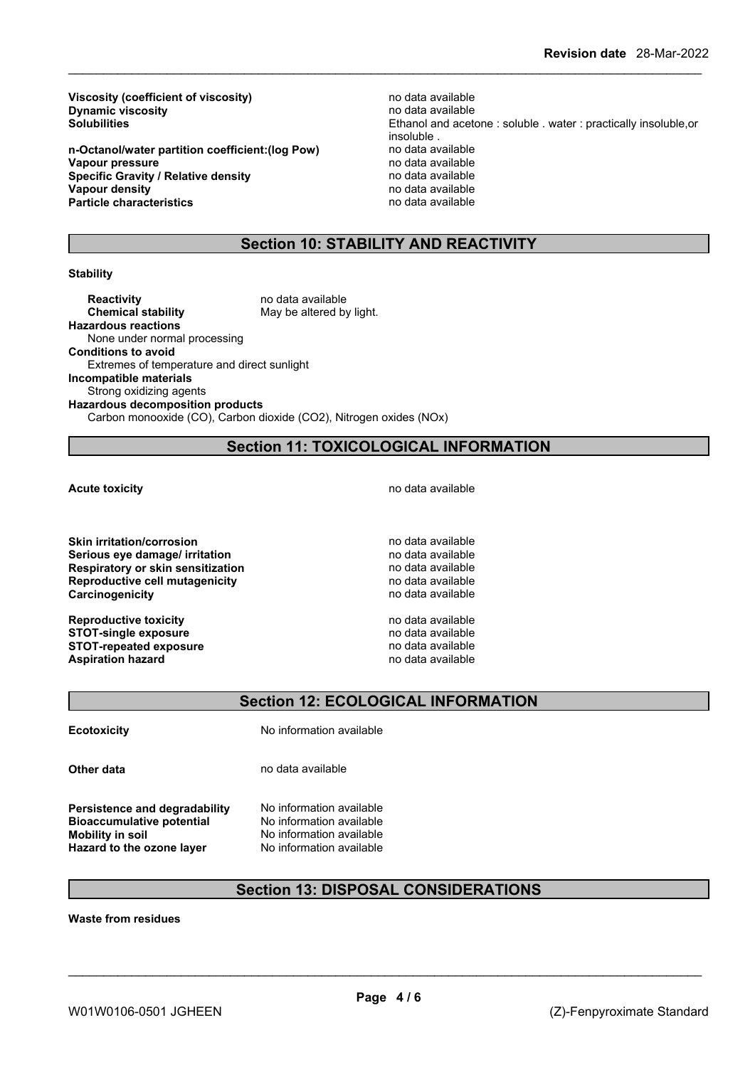**Viscosity (coefficient of viscosity)** no data available<br> **Dynamic viscosity no data available Dynamic** viscosity

**n-Octanol/water partition coefficient:(log Pow)** no data available **Vapour pressure**<br> **Specific Gravity / Relative density**<br> **Specific Gravity / Relative density**<br> **Property** and a vailable **Specific Gravity / Relative density Vapour density Particle characteristics** no data available

**Solubilities** Ethanol and acetone : soluble . water : practically insoluble,or insoluble .<br>no data available **Vapour density** no data available

## **Section 10: STABILITY AND REACTIVITY**

#### **Stability**

**Reactivity no data available Chemical stability** May be altered by light. **Hazardous reactions** None under normal processing **Conditions to avoid** Extremes of temperature and direct sunlight **Incompatible materials** Strong oxidizing agents **Hazardous decomposition products** Carbon monooxide (CO), Carbon dioxide (CO2), Nitrogen oxides (NOx)

## **Section 11: TOXICOLOGICAL INFORMATION**

**Skin irritation/corrosion no data available** no data available **Serious eve damage/ irritation no data available Respiratory or skin sensitization** no data available **Reproductive cell mutagenicity**<br> **Carcinogenicity Carcinogenicity** no data available **Carcinogenicity** 

**Reproductive toxicity**<br> **Reproductive toxicity**<br> **STOT-single exposure**<br> **STOT-single exposure STOT-single exposure**<br> **STOT-repeated exposure**<br> **STOT-repeated exposure**<br> **STOT-repeated exposure STOT-repeated exposure**<br> **Aspiration hazard**<br> **Aspiration hazard**<br> **Aspiration hazard Aspiration hazard** 

**Acute toxicity Acute toxicity hotal Acute toxicity hotal hotal hotal hotal hotal hotal hotal hotal hotal hotal hotal hotal hotal hotal hotal hotal hotal hotal hotal hotal** 

## **Section 12: ECOLOGICAL INFORMATION**

**Ecotoxicity** No information available

**Other data** no data available

**Persistence and degradability** No information available **Bioaccumulative potential** No information available **Mobility in soil** No information available **Hazard to the ozone layer** No information available

## **Section 13: DISPOSAL CONSIDERATIONS**

**Waste from residues**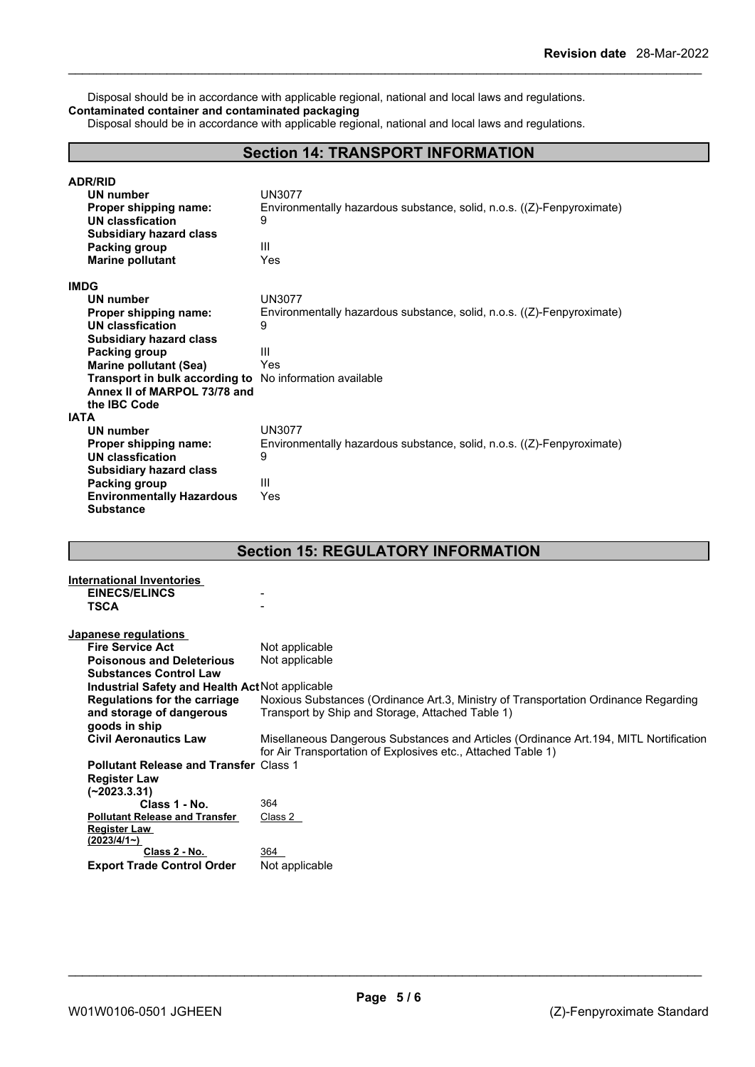Disposal should be in accordance with applicable regional, national and local laws and regulations. **Contaminated container and contaminated packaging**

Disposal should be in accordance with applicable regional, national and local laws and regulations.

## **Section 14: TRANSPORT INFORMATION**

| <b>ADR/RID</b><br>UN number<br>Proper shipping name:<br>UN classfication<br><b>Subsidiary hazard class</b><br>Packing group<br><b>Marine pollutant</b> | UN3077<br>Environmentally hazardous substance, solid, n.o.s. $((Z)$ -Fenpyroximate)<br>9<br>Ш<br>Yes |
|--------------------------------------------------------------------------------------------------------------------------------------------------------|------------------------------------------------------------------------------------------------------|
| <b>IMDG</b>                                                                                                                                            |                                                                                                      |
| UN number                                                                                                                                              | <b>UN3077</b>                                                                                        |
| Proper shipping name:                                                                                                                                  | Environmentally hazardous substance, solid, n.o.s. $((Z)$ -Fenpyroximate)                            |
| UN classfication                                                                                                                                       | 9                                                                                                    |
| <b>Subsidiary hazard class</b>                                                                                                                         |                                                                                                      |
| Packing group                                                                                                                                          | Ш                                                                                                    |
| <b>Marine pollutant (Sea)</b>                                                                                                                          | Yes                                                                                                  |
| <b>Transport in bulk according to</b> No information available                                                                                         |                                                                                                      |
| Annex II of MARPOL 73/78 and                                                                                                                           |                                                                                                      |
| the IBC Code                                                                                                                                           |                                                                                                      |
| <b>IATA</b>                                                                                                                                            |                                                                                                      |
| <b>UN number</b>                                                                                                                                       | <b>UN3077</b>                                                                                        |
| Proper shipping name:                                                                                                                                  | Environmentally hazardous substance, solid, n.o.s. ((Z)-Fenpyroximate)                               |
| <b>UN classfication</b>                                                                                                                                | 9                                                                                                    |
| <b>Subsidiary hazard class</b>                                                                                                                         |                                                                                                      |
| Packing group                                                                                                                                          | Ш                                                                                                    |
| <b>Environmentally Hazardous</b>                                                                                                                       | Yes                                                                                                  |
| <b>Substance</b>                                                                                                                                       |                                                                                                      |

## **Section 15: REGULATORY INFORMATION**

| International Inventories                       |                                                                                        |
|-------------------------------------------------|----------------------------------------------------------------------------------------|
| <b>EINECS/ELINCS</b>                            |                                                                                        |
| <b>TSCA</b>                                     |                                                                                        |
|                                                 |                                                                                        |
| Japanese regulations                            |                                                                                        |
| <b>Fire Service Act</b>                         | Not applicable                                                                         |
| <b>Poisonous and Deleterious</b>                | Not applicable                                                                         |
| <b>Substances Control Law</b>                   |                                                                                        |
| Industrial Safety and Health Act Not applicable |                                                                                        |
| Regulations for the carriage                    | Noxious Substances (Ordinance Art.3, Ministry of Transportation Ordinance Regarding    |
| and storage of dangerous                        | Transport by Ship and Storage, Attached Table 1)                                       |
| goods in ship                                   |                                                                                        |
| <b>Civil Aeronautics Law</b>                    | Misellaneous Dangerous Substances and Articles (Ordinance Art. 194, MITL Nortification |
|                                                 | for Air Transportation of Explosives etc., Attached Table 1)                           |
| <b>Pollutant Release and Transfer Class 1</b>   |                                                                                        |
| <b>Register Law</b>                             |                                                                                        |
| $(-2023.3.31)$                                  |                                                                                        |
| Class 1 - No.                                   | 364                                                                                    |
| <b>Pollutant Release and Transfer</b>           | Class 2                                                                                |
| <b>Register Law</b>                             |                                                                                        |
| (2023/4/1)                                      |                                                                                        |
| Class 2 - No.                                   | 364                                                                                    |
| <b>Export Trade Control Order</b>               | Not applicable                                                                         |